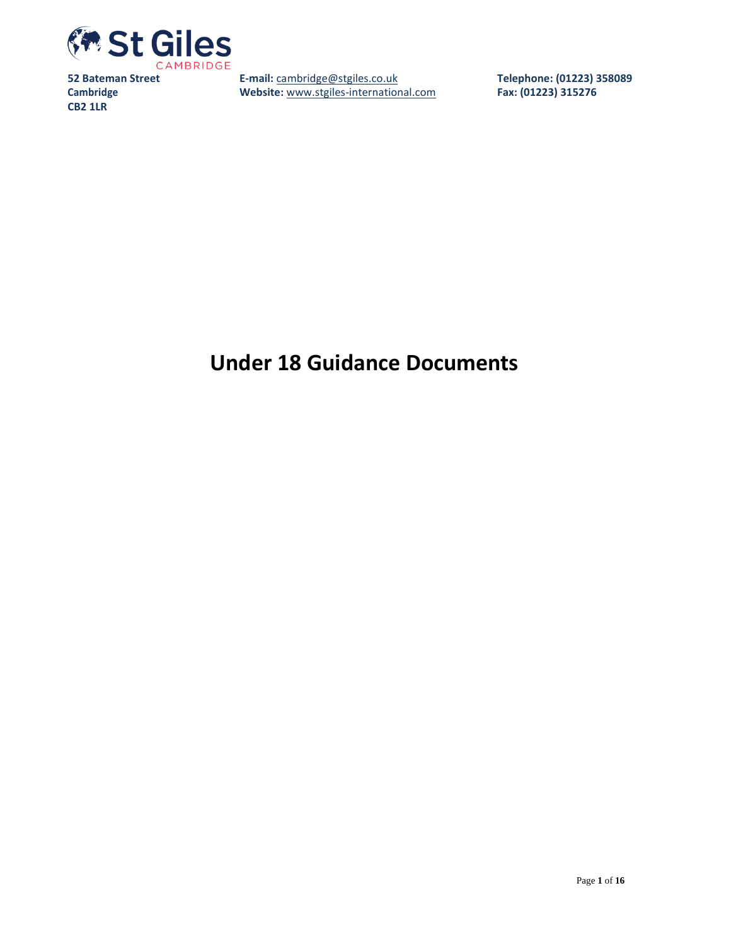

**E-mail:** [cambridge@stgiles.co.uk](mailto:cambridge@stgiles.co.uk) **Website:** [www.stgiles-international.com](http://www.stgiles-international.com/) **Telephone: (01223) 358089 Fax: (01223) 315276**

# **Under 18 Guidance Documents**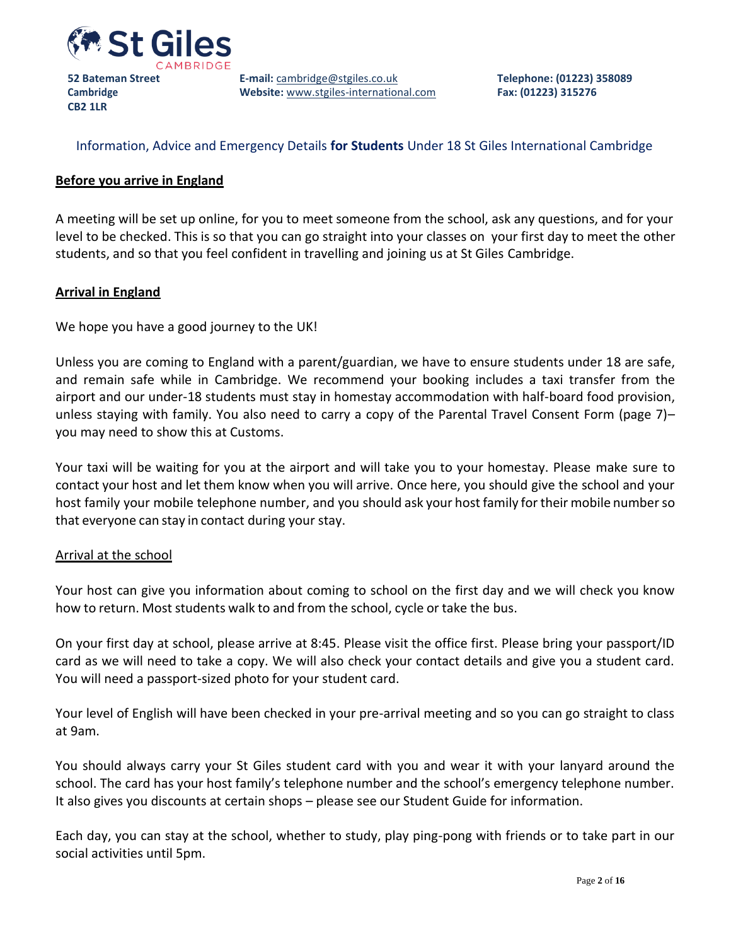

**Cambridge CB2 1LR**

**E-mail:** [cambridge@stgiles.co.uk](mailto:cambridge@stgiles.co.uk) **Website:** [www.stgiles-international.com](http://www.stgiles-international.com/) **Telephone: (01223) 358089 Fax: (01223) 315276**

# Information, Advice and Emergency Details **for Students** Under 18 St Giles International Cambridge

## **Before you arrive in England**

A meeting will be set up online, for you to meet someone from the school, ask any questions, and for your level to be checked. This is so that you can go straight into your classes on your first day to meet the other students, and so that you feel confident in travelling and joining us at St Giles Cambridge.

#### **Arrival in England**

We hope you have a good journey to the UK!

Unless you are coming to England with a parent/guardian, we have to ensure students under 18 are safe, and remain safe while in Cambridge. We recommend your booking includes a taxi transfer from the airport and our under-18 students must stay in homestay accommodation with half-board food provision, unless staying with family. You also need to carry a copy of the Parental Travel Consent Form (page 7)– you may need to show this at Customs.

Your taxi will be waiting for you at the airport and will take you to your homestay. Please make sure to contact your host and let them know when you will arrive. Once here, you should give the school and your host family your mobile telephone number, and you should ask your host family for their mobile number so that everyone can stay in contact during your stay.

#### Arrival at the school

Your host can give you information about coming to school on the first day and we will check you know how to return. Most students walk to and from the school, cycle or take the bus.

On your first day at school, please arrive at 8:45. Please visit the office first. Please bring your passport/ID card as we will need to take a copy. We will also check your contact details and give you a student card. You will need a passport-sized photo for your student card.

Your level of English will have been checked in your pre-arrival meeting and so you can go straight to class at 9am.

You should always carry your St Giles student card with you and wear it with your lanyard around the school. The card has your host family's telephone number and the school's emergency telephone number. It also gives you discounts at certain shops – please see our Student Guide for information.

Each day, you can stay at the school, whether to study, play ping-pong with friends or to take part in our social activities until 5pm.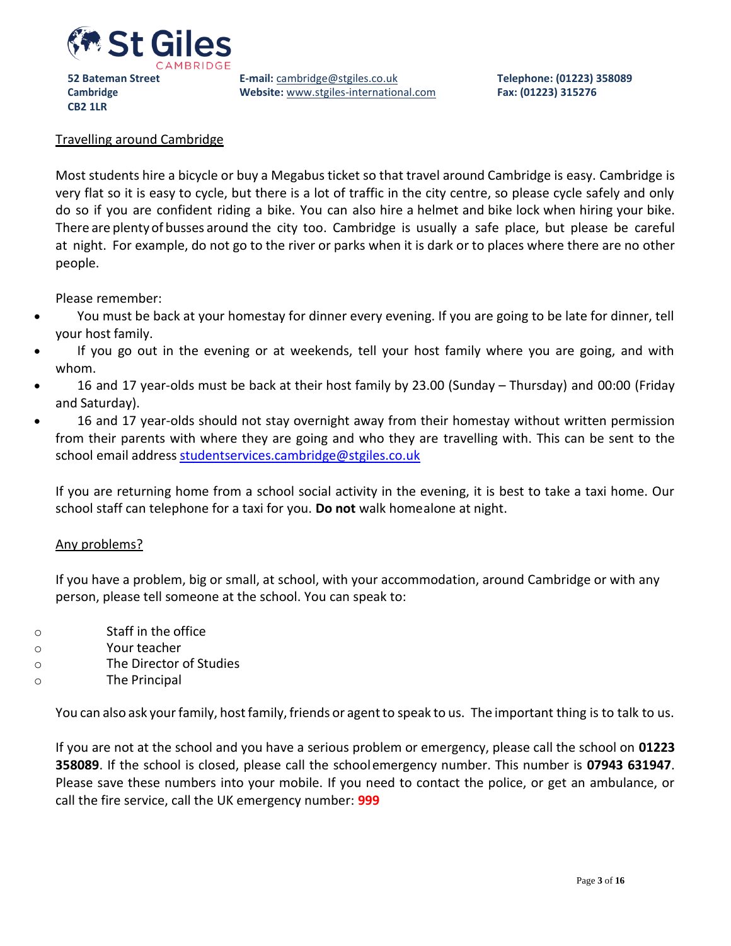

**E-mail:** [cambridge@stgiles.co.uk](mailto:cambridge@stgiles.co.uk) **Website:** [www.stgiles-international.com](http://www.stgiles-international.com/)

#### Travelling around Cambridge

**CB2 1LR**

Most students hire a bicycle or buy a Megabus ticket so that travel around Cambridge is easy. Cambridge is very flat so it is easy to cycle, but there is a lot of traffic in the city centre, so please cycle safely and only do so if you are confident riding a bike. You can also hire a helmet and bike lock when hiring your bike. There are plenty of busses around the city too. Cambridge is usually a safe place, but please be careful at night. For example, do not go to the river or parks when it is dark or to places where there are no other people.

Please remember:

- You must be back at your homestay for dinner every evening. If you are going to be late for dinner, tell your host family.
- If you go out in the evening or at weekends, tell your host family where you are going, and with whom.
- 16 and 17 year-olds must be back at their host family by 23.00 (Sunday Thursday) and 00:00 (Friday and Saturday).
- 16 and 17 year-olds should not stay overnight away from their homestay without written permission from their parents with where they are going and who they are travelling with. This can be sent to the school email address [studentservices.cambridge@stgiles.co.uk](mailto:studentservices.cambridge@stgiles.co.uk)

If you are returning home from a school social activity in the evening, it is best to take a taxi home. Our school staff can telephone for a taxi for you. **Do not** walk homealone at night.

#### Any problems?

If you have a problem, big or small, at school, with your accommodation, around Cambridge or with any person, please tell someone at the school. You can speak to:

- o Staff in the office
- o Your teacher
- o The Director of Studies
- o The Principal

You can also ask your family, host family, friends or agent to speak to us. The important thing is to talk to us.

If you are not at the school and you have a serious problem or emergency, please call the school on **01223 358089**. If the school is closed, please call the schoolemergency number. This number is **07943 631947**. Please save these numbers into your mobile. If you need to contact the police, or get an ambulance, or call the fire service, call the UK emergency number: **999**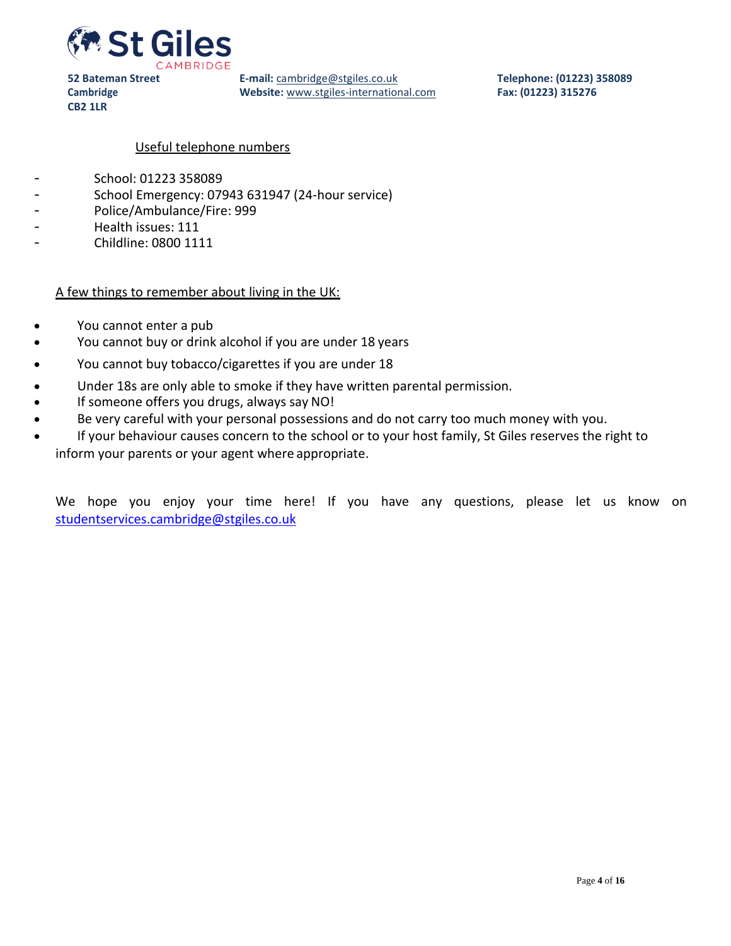

**E-mail:** [cambridge@stgiles.co.uk](mailto:cambridge@stgiles.co.uk) **Website:** [www.stgiles-international.com](http://www.stgiles-international.com/) **Telephone: (01223) 358089 Fax: (01223) 315276**

#### Useful telephone numbers

- School: 01223 358089
- School Emergency: 07943 631947 (24-hour service)
- Police/Ambulance/Fire: 999
- Health issues: 111

**CB2 1LR**

- Childline: 0800 1111

#### A few things to remember about living in the UK:

- You cannot enter a pub
- You cannot buy or drink alcohol if you are under 18 years
- You cannot buy tobacco/cigarettes if you are under 18
- Under 18s are only able to smoke if they have written parental permission.
- If someone offers you drugs, always say NO!
- Be very careful with your personal possessions and do not carry too much money with you.
- If your behaviour causes concern to the school or to your host family, St Giles reserves the right to inform your parents or your agent where appropriate.

We hope you enjoy your time here! If you have any questions, please let us know on [studentservices.cambridge@stgiles.co.uk](mailto:studentservices.cambridge@stgiles.co.uk)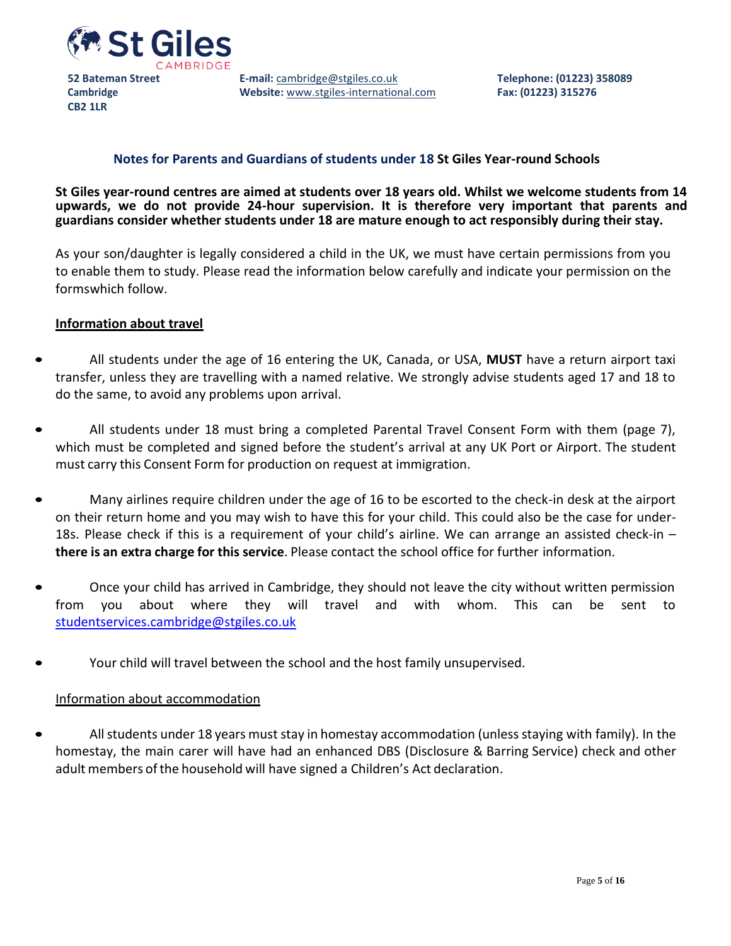

**CB2 1LR**

**E-mail:** [cambridge@stgiles.co.uk](mailto:cambridge@stgiles.co.uk) **Website:** [www.stgiles-international.com](http://www.stgiles-international.com/)

## **Notes for Parents and Guardians of students under 18 St Giles Year-round Schools**

**St Giles year-round centres are aimed at students over 18 years old. Whilst we welcome students from 14 upwards, we do not provide 24-hour supervision. It is therefore very important that parents and guardians consider whether students under 18 are mature enough to act responsibly during their stay.**

As your son/daughter is legally considered a child in the UK, we must have certain permissions from you to enable them to study. Please read the information below carefully and indicate your permission on the formswhich follow.

#### **Information about travel**

- All students under the age of 16 entering the UK, Canada, or USA, **MUST** have a return airport taxi transfer, unless they are travelling with a named relative. We strongly advise students aged 17 and 18 to do the same, to avoid any problems upon arrival.
- All students under 18 must bring a completed Parental Travel Consent Form with them (page 7), which must be completed and signed before the student's arrival at any UK Port or Airport. The student must carry this Consent Form for production on request at immigration.
- Many airlines require children under the age of 16 to be escorted to the check-in desk at the airport on their return home and you may wish to have this for your child. This could also be the case for under-18s. Please check if this is a requirement of your child's airline. We can arrange an assisted check-in – **there is an extra charge for this service**. Please contact the school office for further information.
- Once your child has arrived in Cambridge, they should not leave the city without written permission from you about where they will travel and with whom. This can be sent to [studentservices.cambridge@stgiles.co.uk](mailto:studentservices.cambridge@stgiles.co.uk)
- Your child will travel between the school and the host family unsupervised.

#### Information about accommodation

All students under 18 years must stay in homestay accommodation (unless staying with family). In the homestay, the main carer will have had an enhanced DBS (Disclosure & Barring Service) check and other adult members of the household will have signed a Children's Act declaration.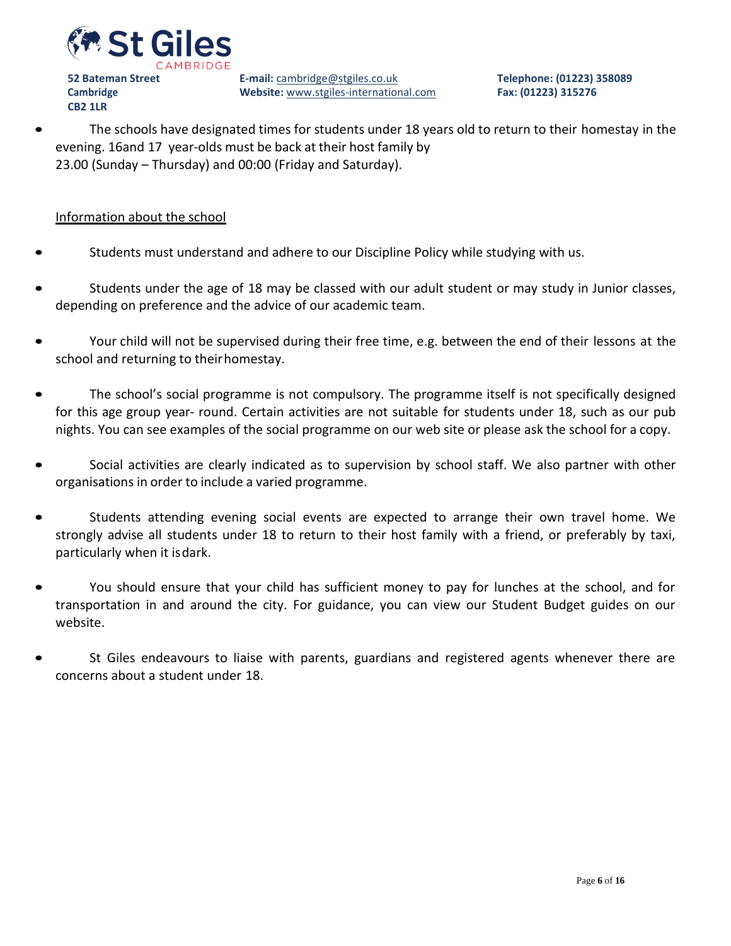

**E-mail:** [cambridge@stgiles.co.uk](mailto:cambridge@stgiles.co.uk) **Website:** [www.stgiles-international.com](http://www.stgiles-international.com/) **Telephone: (01223) 358089 Fax: (01223) 315276**

• The schools have designated times for students under 18 years old to return to their homestay in the evening. 16and 17 year-olds must be back at their host family by 23.00 (Sunday – Thursday) and 00:00 (Friday and Saturday).

#### Information about the school

- Students must understand and adhere to our Discipline Policy while studying with us.
- Students under the age of 18 may be classed with our adult student or may study in Junior classes, depending on preference and the advice of our academic team.
- Your child will not be supervised during their free time, e.g. between the end of their lessons at the school and returning to theirhomestay.
- The school's social programme is not compulsory. The programme itself is not specifically designed for this age group year- round. Certain activities are not suitable for students under 18, such as our pub nights. You can see examples of the social programme on our web site or please ask the school for a copy.
- Social activities are clearly indicated as to supervision by school staff. We also partner with other organisations in order to include a varied programme.
- Students attending evening social events are expected to arrange their own travel home. We strongly advise all students under 18 to return to their host family with a friend, or preferably by taxi, particularly when it isdark.
- You should ensure that your child has sufficient money to pay for lunches at the school, and for transportation in and around the city. For guidance, you can view our Student Budget guides on our website.
- St Giles endeavours to liaise with parents, guardians and registered agents whenever there are concerns about a student under 18.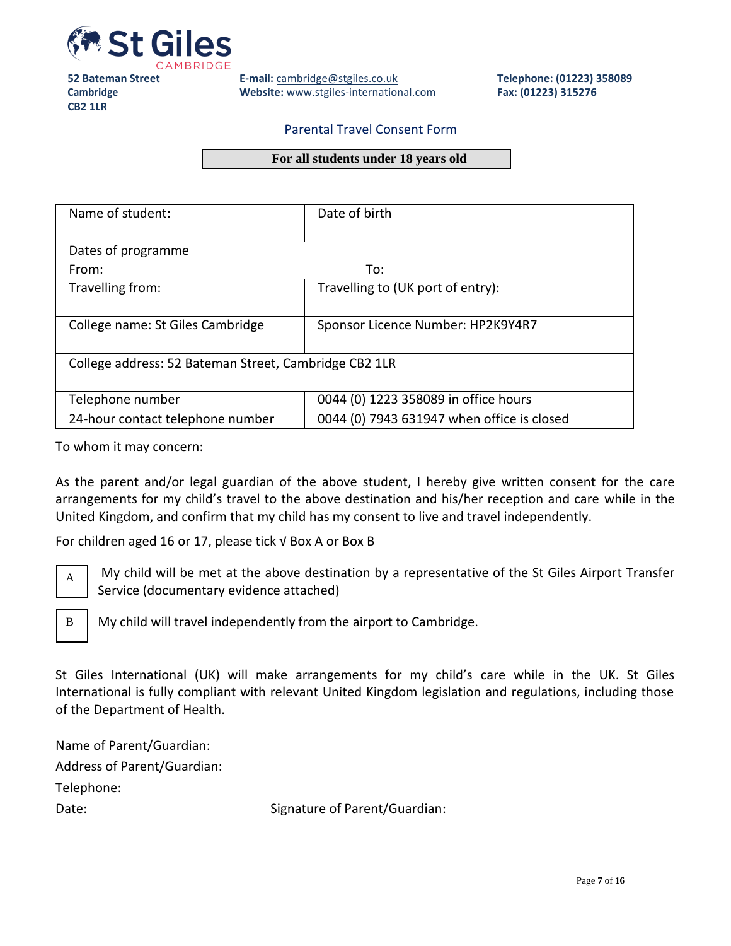

**E-mail:** [cambridge@stgiles.co.uk](mailto:cambridge@stgiles.co.uk) **Website:** [www.stgiles-international.com](http://www.stgiles-international.com/) **Telephone: (01223) 358089 Fax: (01223) 315276**

#### Parental Travel Consent Form

#### **For all students under 18 years old**

| Name of student:                                      | Date of birth                              |
|-------------------------------------------------------|--------------------------------------------|
|                                                       |                                            |
| Dates of programme                                    |                                            |
| From:                                                 | To:                                        |
| Travelling from:                                      | Travelling to (UK port of entry):          |
|                                                       |                                            |
| College name: St Giles Cambridge                      | Sponsor Licence Number: HP2K9Y4R7          |
|                                                       |                                            |
| College address: 52 Bateman Street, Cambridge CB2 1LR |                                            |
|                                                       |                                            |
| Telephone number                                      | 0044 (0) 1223 358089 in office hours       |
| 24-hour contact telephone number                      | 0044 (0) 7943 631947 when office is closed |

#### To whom it may concern:

As the parent and/or legal guardian of the above student, I hereby give written consent for the care arrangements for my child's travel to the above destination and his/her reception and care while in the United Kingdom, and confirm that my child has my consent to live and travel independently.

For children aged 16 or 17, please tick √ Box A or Box B



My child will be met at the above destination by a representative of the St Giles Airport Transfer Service (documentary evidence attached)



My child will travel independently from the airport to Cambridge.

St Giles International (UK) will make arrangements for my child's care while in the UK. St Giles International is fully compliant with relevant United Kingdom legislation and regulations, including those of the Department of Health.

Name of Parent/Guardian: Address of Parent/Guardian: Telephone: Date: Signature of Parent/Guardian: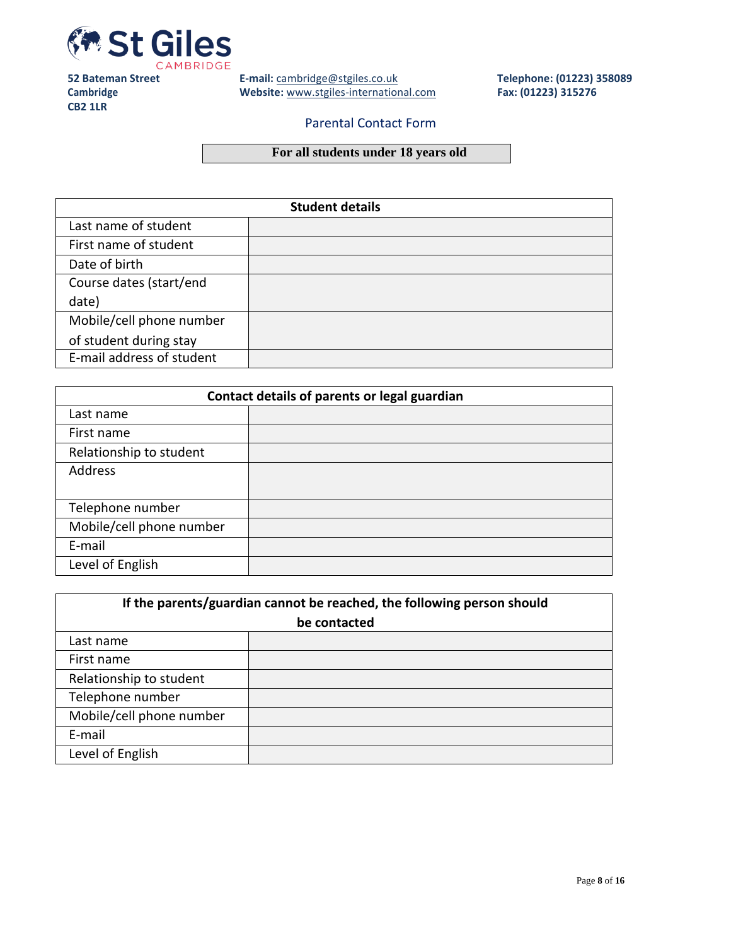

**E-mail:** [cambridge@stgiles.co.uk](mailto:cambridge@stgiles.co.uk) **Website:** [www.stgiles-international.com](http://www.stgiles-international.com/) **Telephone: (01223) 358089 Fax: (01223) 315276**

#### Parental Contact Form

# **For all students under 18 years old**

| <b>Student details</b>    |  |  |
|---------------------------|--|--|
| Last name of student      |  |  |
| First name of student     |  |  |
| Date of birth             |  |  |
| Course dates (start/end   |  |  |
| date)                     |  |  |
| Mobile/cell phone number  |  |  |
| of student during stay    |  |  |
| E-mail address of student |  |  |

| Contact details of parents or legal guardian |  |  |
|----------------------------------------------|--|--|
| Last name                                    |  |  |
| First name                                   |  |  |
| Relationship to student                      |  |  |
| Address                                      |  |  |
| Telephone number                             |  |  |
| Mobile/cell phone number                     |  |  |
| E-mail                                       |  |  |
| Level of English                             |  |  |

| If the parents/guardian cannot be reached, the following person should |  |  |
|------------------------------------------------------------------------|--|--|
| be contacted                                                           |  |  |
| Last name                                                              |  |  |
| First name                                                             |  |  |
| Relationship to student                                                |  |  |
| Telephone number                                                       |  |  |
| Mobile/cell phone number                                               |  |  |
| E-mail                                                                 |  |  |
| Level of English                                                       |  |  |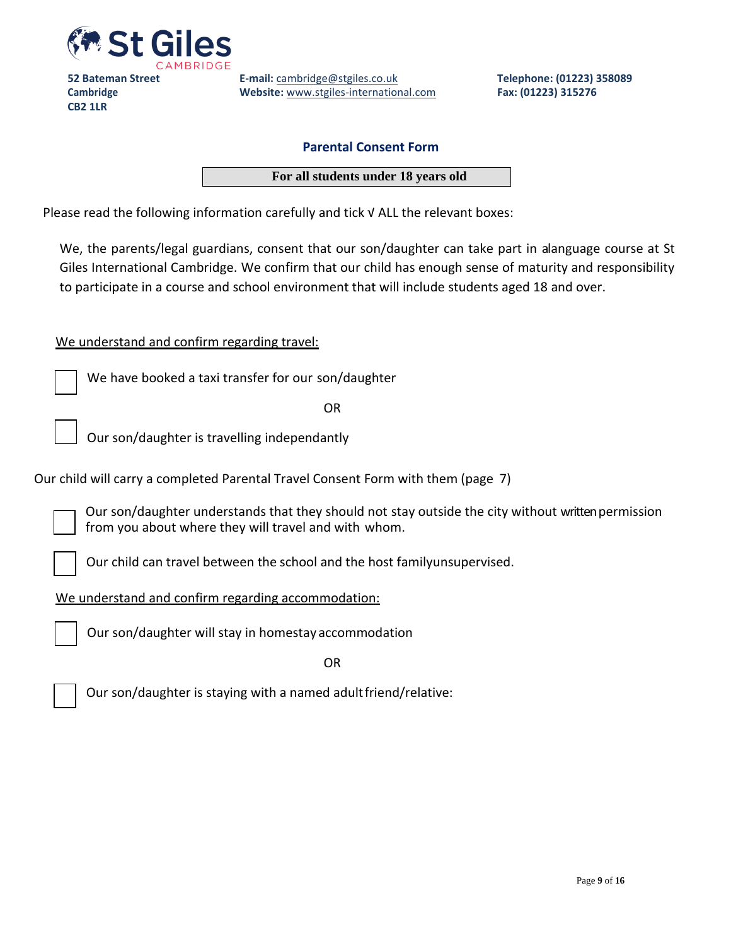

**E-mail:** [cambridge@stgiles.co.uk](mailto:cambridge@stgiles.co.uk) **Website:** [www.stgiles-international.com](http://www.stgiles-international.com/) **Telephone: (01223) 358089 Fax: (01223) 315276**

#### **Parental Consent Form**

**For all students under 18 years old**

Please read the following information carefully and tick √ ALL the relevant boxes:

We, the parents/legal guardians, consent that our son/daughter can take part in alanguage course at St Giles International Cambridge. We confirm that our child has enough sense of maturity and responsibility to participate in a course and school environment that will include students aged 18 and over.

#### We understand and confirm regarding travel:

We have booked a taxi transfer for our son/daughter

OR

Our son/daughter is travelling independantly

Our child will carry a completed Parental Travel Consent Form with them (page 7)

Our son/daughter understands that they should not stay outside the city without written permission from you about where they will travel and with whom.

Our child can travel between the school and the host familyunsupervised.

We understand and confirm regarding accommodation:



Our son/daughter will stay in homestay accommodation

OR



Our son/daughter is staying with a named adultfriend/relative: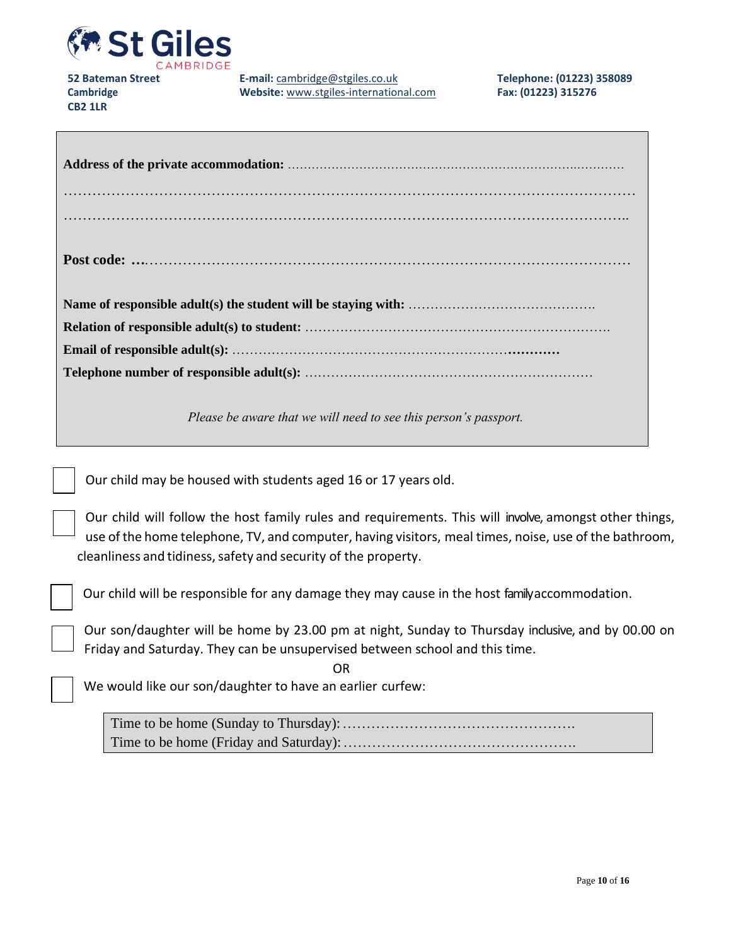

**E-mail:** [cambridge@stgiles.co.uk](mailto:cambridge@stgiles.co.uk) **Website:** [www.stgiles-international.com](http://www.stgiles-international.com/)

| Please be aware that we will need to see this person's passport. |  |  |
|------------------------------------------------------------------|--|--|

Our child may be housed with students aged 16 or 17 years old.

Our child will follow the host family rules and requirements. This will involve, amongst other things, use of the home telephone, TV, and computer, having visitors, meal times, noise, use of the bathroom, cleanliness and tidiness, safety and security of the property.

Our child will be responsible for any damage they may cause in the host family accommodation.

Our son/daughter will be home by 23.00 pm at night, Sunday to Thursday inclusive, and by 00.00 on Friday and Saturday. They can be unsupervised between school and this time.

We would like our son/daughter to have an earlier curfew:

Time to be home (Sunday to Thursday):…………………………………………. Time to be home (Friday and Saturday):………………………………………….

OR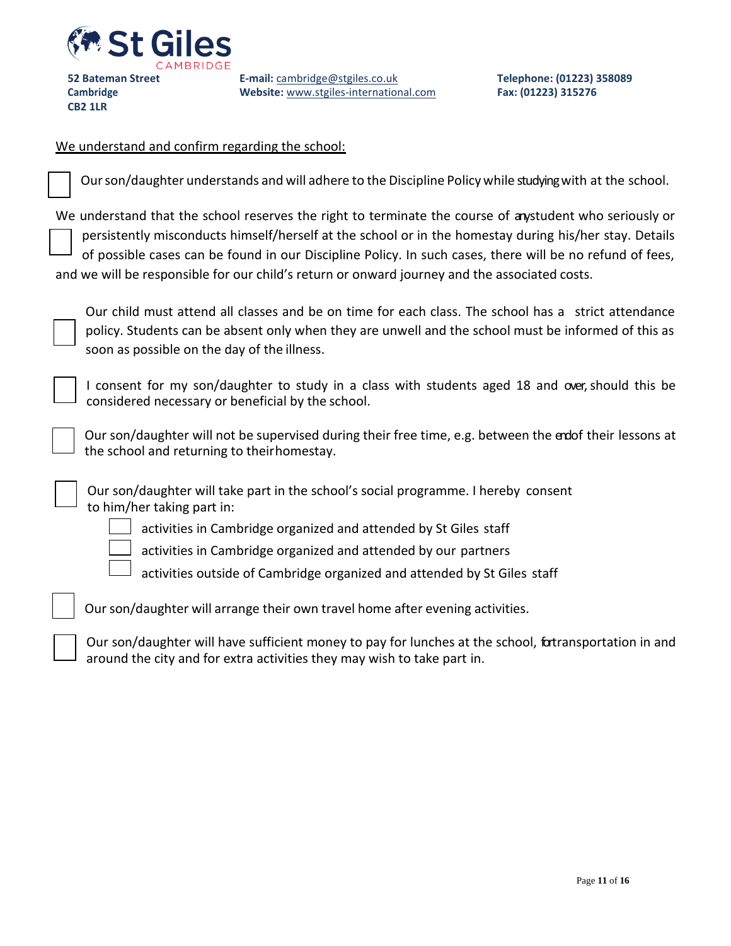

**CB2 1LR**

**E-mail:** [cambridge@stgiles.co.uk](mailto:cambridge@stgiles.co.uk) **Website:** [www.stgiles-international.com](http://www.stgiles-international.com/) **Telephone: (01223) 358089 Fax: (01223) 315276**

# We understand and confirm regarding the school:

| Our son/daughter understands and will adhere to the Discipline Policy while studying with at the school.                                                                                                                                                                                                                                                                                                                       |
|--------------------------------------------------------------------------------------------------------------------------------------------------------------------------------------------------------------------------------------------------------------------------------------------------------------------------------------------------------------------------------------------------------------------------------|
| We understand that the school reserves the right to terminate the course of anystudent who seriously or<br>persistently misconducts himself/herself at the school or in the homestay during his/her stay. Details<br>of possible cases can be found in our Discipline Policy. In such cases, there will be no refund of fees,<br>and we will be responsible for our child's return or onward journey and the associated costs. |
| Our child must attend all classes and be on time for each class. The school has a strict attendance<br>policy. Students can be absent only when they are unwell and the school must be informed of this as<br>soon as possible on the day of the illness.                                                                                                                                                                      |
| I consent for my son/daughter to study in a class with students aged 18 and over, should this be<br>considered necessary or beneficial by the school.                                                                                                                                                                                                                                                                          |
| Our son/daughter will not be supervised during their free time, e.g. between the endof their lessons at<br>the school and returning to their homestay.                                                                                                                                                                                                                                                                         |
| Our son/daughter will take part in the school's social programme. I hereby consent<br>to him/her taking part in:                                                                                                                                                                                                                                                                                                               |
| activities in Cambridge organized and attended by St Giles staff                                                                                                                                                                                                                                                                                                                                                               |
| activities in Cambridge organized and attended by our partners                                                                                                                                                                                                                                                                                                                                                                 |
| activities outside of Cambridge organized and attended by St Giles staff                                                                                                                                                                                                                                                                                                                                                       |
| Our son/daughter will arrange their own travel home after evening activities.                                                                                                                                                                                                                                                                                                                                                  |
| Our son/daughter will have sufficient money to pay for lunches at the school, fortransportation in and<br>around the city and for extra activities they may wish to take part in.                                                                                                                                                                                                                                              |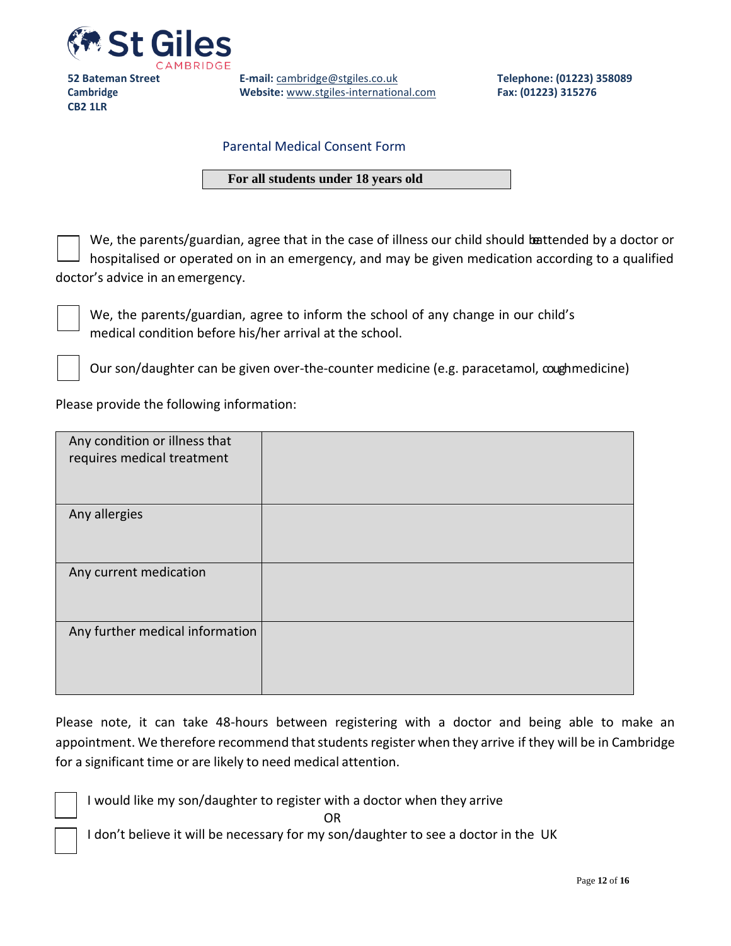

**E-mail:** [cambridge@stgiles.co.uk](mailto:cambridge@stgiles.co.uk) **Website:** [www.stgiles-international.com](http://www.stgiles-international.com/) **Telephone: (01223) 358089 Fax: (01223) 315276**

#### Parental Medical Consent Form

#### **For all students under 18 years old**

We, the parents/guardian, agree that in the case of illness our child should battended by a doctor or hospitalised or operated on in an emergency, and may be given medication according to a qualified doctor's advice in an emergency.



We, the parents/guardian, agree to inform the school of any change in our child's medical condition before his/her arrival at the school.

Our son/daughter can be given over-the-counter medicine (e.g. paracetamol, cough medicine)

Please provide the following information:

| Any condition or illness that<br>requires medical treatment |  |
|-------------------------------------------------------------|--|
| Any allergies                                               |  |
| Any current medication                                      |  |
| Any further medical information                             |  |

Please note, it can take 48-hours between registering with a doctor and being able to make an appointment. We therefore recommend that students register when they arrive if they will be in Cambridge for a significant time or are likely to need medical attention.

I would like my son/daughter to register with a doctor when they arrive

OR

I don't believe it will be necessary for my son/daughter to see a doctor in the UK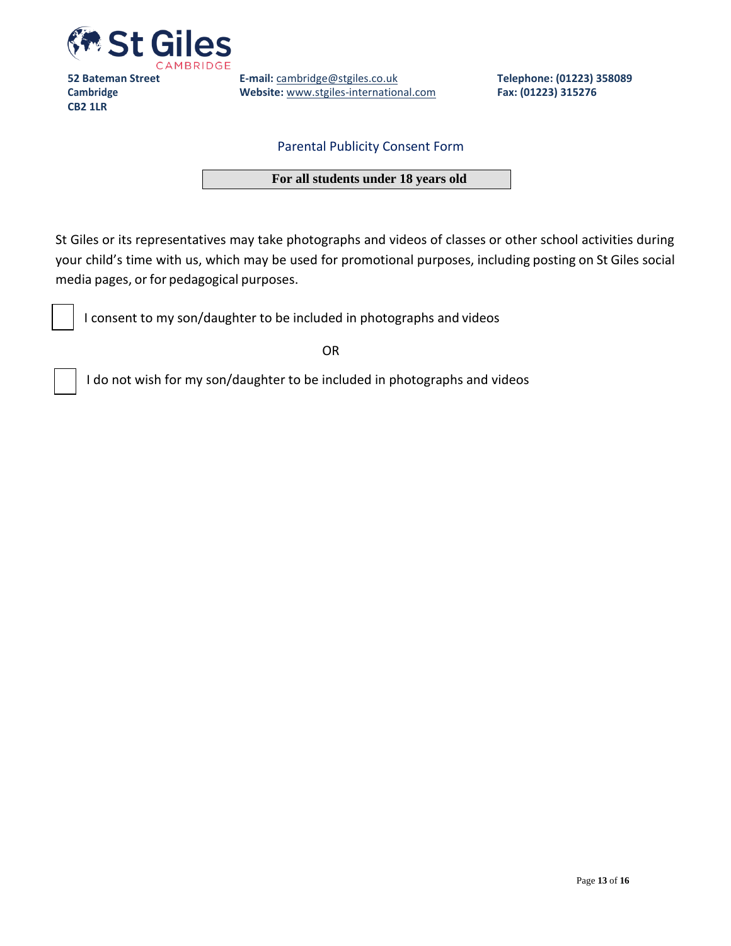

**E-mail:** [cambridge@stgiles.co.uk](mailto:cambridge@stgiles.co.uk) **Website:** [www.stgiles-international.com](http://www.stgiles-international.com/) **Telephone: (01223) 358089 Fax: (01223) 315276**

#### Parental Publicity Consent Form

**For all students under 18 years old**

St Giles or its representatives may take photographs and videos of classes or other school activities during your child's time with us, which may be used for promotional purposes, including posting on St Giles social media pages, or for pedagogical purposes.

I consent to my son/daughter to be included in photographs and videos

OR

I do not wish for my son/daughter to be included in photographs and videos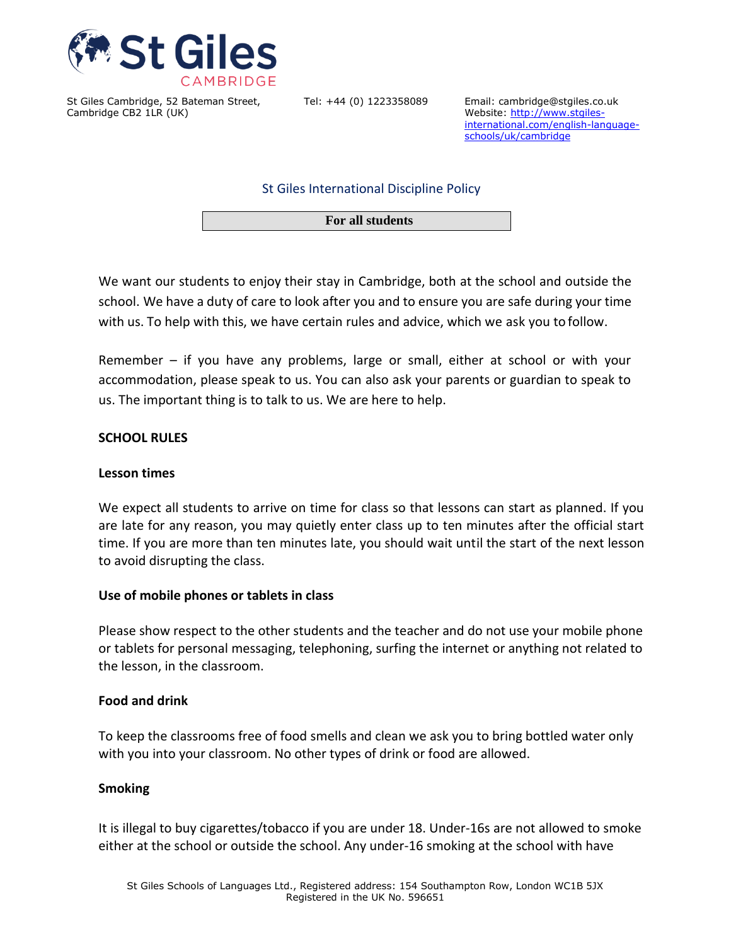

Tel: +44 (0) 1223358089 Email: cambridge@stgiles.co.uk Website[: http://www.stgiles](http://www.stgiles-international.com/english-language-schools/uk/cambridge)[international.com/english-language](http://www.stgiles-international.com/english-language-schools/uk/cambridge)[schools/uk/cambridge](http://www.stgiles-international.com/english-language-schools/uk/cambridge)

St Giles International Discipline Policy

**For all students**

We want our students to enjoy their stay in Cambridge, both at the school and outside the school. We have a duty of care to look after you and to ensure you are safe during your time with us. To help with this, we have certain rules and advice, which we ask you to follow.

Remember – if you have any problems, large or small, either at school or with your accommodation, please speak to us. You can also ask your parents or guardian to speak to us. The important thing is to talk to us. We are here to help.

#### **SCHOOL RULES**

#### **Lesson times**

We expect all students to arrive on time for class so that lessons can start as planned. If you are late for any reason, you may quietly enter class up to ten minutes after the official start time. If you are more than ten minutes late, you should wait until the start of the next lesson to avoid disrupting the class.

#### **Use of mobile phones or tablets in class**

Please show respect to the other students and the teacher and do not use your mobile phone or tablets for personal messaging, telephoning, surfing the internet or anything not related to the lesson, in the classroom.

#### **Food and drink**

To keep the classrooms free of food smells and clean we ask you to bring bottled water only with you into your classroom. No other types of drink or food are allowed.

#### **Smoking**

It is illegal to buy cigarettes/tobacco if you are under 18. Under-16s are not allowed to smoke either at the school or outside the school. Any under-16 smoking at the school with have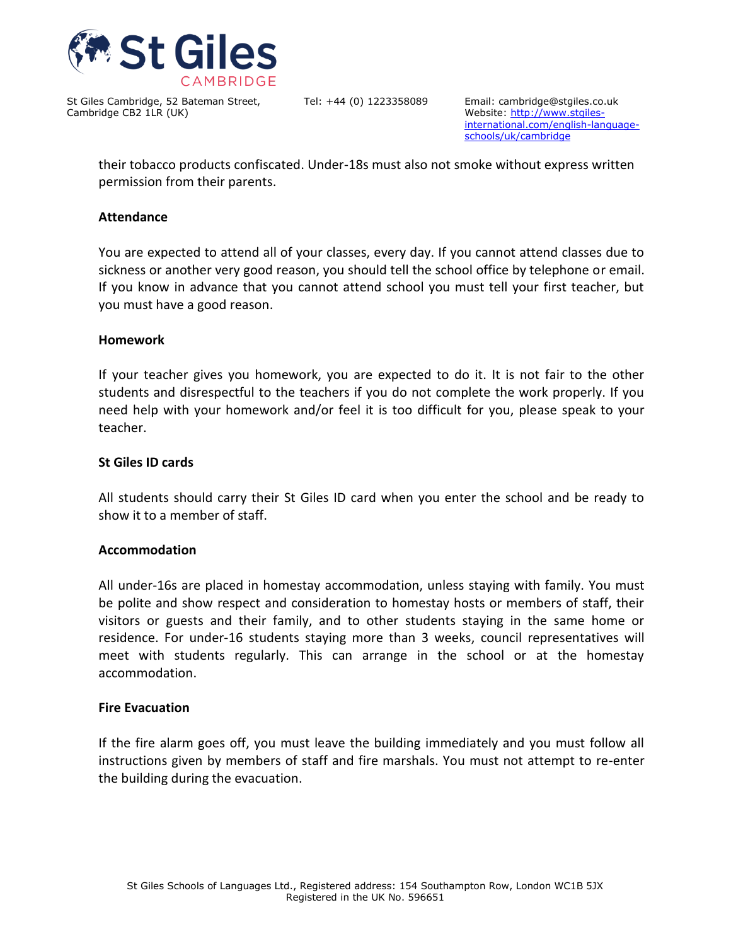

Tel: +44 (0) 1223358089 Email: cambridge@stgiles.co.uk Website[: http://www.stgiles](http://www.stgiles-international.com/english-language-schools/uk/cambridge)[international.com/english-language](http://www.stgiles-international.com/english-language-schools/uk/cambridge)[schools/uk/cambridge](http://www.stgiles-international.com/english-language-schools/uk/cambridge)

their tobacco products confiscated. Under-18s must also not smoke without express written permission from their parents.

#### **Attendance**

You are expected to attend all of your classes, every day. If you cannot attend classes due to sickness or another very good reason, you should tell the school office by telephone or email. If you know in advance that you cannot attend school you must tell your first teacher, but you must have a good reason.

#### **Homework**

If your teacher gives you homework, you are expected to do it. It is not fair to the other students and disrespectful to the teachers if you do not complete the work properly. If you need help with your homework and/or feel it is too difficult for you, please speak to your teacher.

#### **St Giles ID cards**

All students should carry their St Giles ID card when you enter the school and be ready to show it to a member of staff.

#### **Accommodation**

All under-16s are placed in homestay accommodation, unless staying with family. You must be polite and show respect and consideration to homestay hosts or members of staff, their visitors or guests and their family, and to other students staying in the same home or residence. For under-16 students staying more than 3 weeks, council representatives will meet with students regularly. This can arrange in the school or at the homestay accommodation.

#### **Fire Evacuation**

If the fire alarm goes off, you must leave the building immediately and you must follow all instructions given by members of staff and fire marshals. You must not attempt to re-enter the building during the evacuation.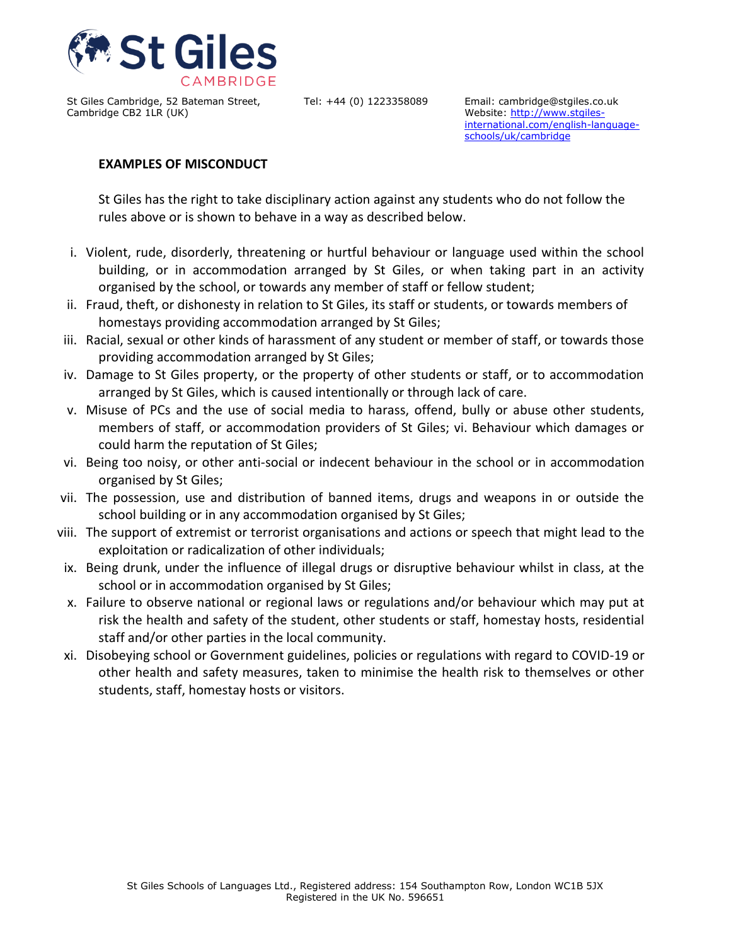

Tel: +44 (0) 1223358089 Email: cambridge@stgiles.co.uk Website[: http://www.stgiles](http://www.stgiles-international.com/english-language-schools/uk/cambridge)[international.com/english-language](http://www.stgiles-international.com/english-language-schools/uk/cambridge)[schools/uk/cambridge](http://www.stgiles-international.com/english-language-schools/uk/cambridge)

## **EXAMPLES OF MISCONDUCT**

St Giles has the right to take disciplinary action against any students who do not follow the rules above or is shown to behave in a way as described below.

- i. Violent, rude, disorderly, threatening or hurtful behaviour or language used within the school building, or in accommodation arranged by St Giles, or when taking part in an activity organised by the school, or towards any member of staff or fellow student;
- ii. Fraud, theft, or dishonesty in relation to St Giles, its staff or students, or towards members of homestays providing accommodation arranged by St Giles;
- iii. Racial, sexual or other kinds of harassment of any student or member of staff, or towards those providing accommodation arranged by St Giles;
- iv. Damage to St Giles property, or the property of other students or staff, or to accommodation arranged by St Giles, which is caused intentionally or through lack of care.
- v. Misuse of PCs and the use of social media to harass, offend, bully or abuse other students, members of staff, or accommodation providers of St Giles; vi. Behaviour which damages or could harm the reputation of St Giles;
- vi. Being too noisy, or other anti-social or indecent behaviour in the school or in accommodation organised by St Giles;
- vii. The possession, use and distribution of banned items, drugs and weapons in or outside the school building or in any accommodation organised by St Giles;
- viii. The support of extremist or terrorist organisations and actions or speech that might lead to the exploitation or radicalization of other individuals;
- ix. Being drunk, under the influence of illegal drugs or disruptive behaviour whilst in class, at the school or in accommodation organised by St Giles;
- x. Failure to observe national or regional laws or regulations and/or behaviour which may put at risk the health and safety of the student, other students or staff, homestay hosts, residential staff and/or other parties in the local community.
- xi. Disobeying school or Government guidelines, policies or regulations with regard to COVID-19 or other health and safety measures, taken to minimise the health risk to themselves or other students, staff, homestay hosts or visitors.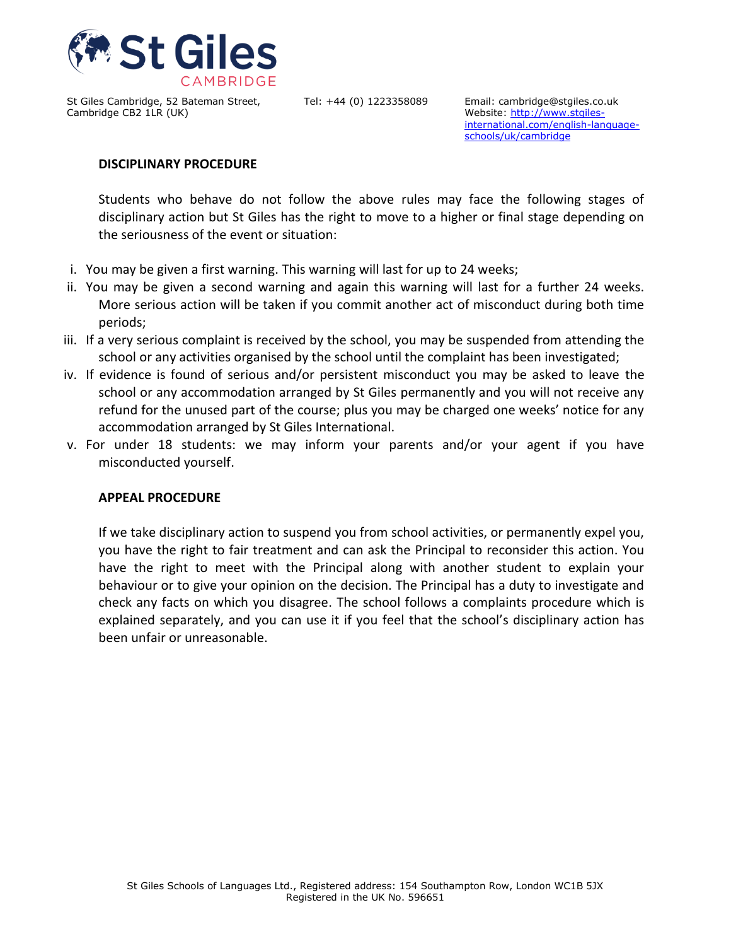

Tel: +44 (0) 1223358089 Email: cambridge@stgiles.co.uk Website[: http://www.stgiles](http://www.stgiles-international.com/english-language-schools/uk/cambridge)[international.com/english-language](http://www.stgiles-international.com/english-language-schools/uk/cambridge)[schools/uk/cambridge](http://www.stgiles-international.com/english-language-schools/uk/cambridge)

#### **DISCIPLINARY PROCEDURE**

Students who behave do not follow the above rules may face the following stages of disciplinary action but St Giles has the right to move to a higher or final stage depending on the seriousness of the event or situation:

- i. You may be given a first warning. This warning will last for up to 24 weeks;
- ii. You may be given a second warning and again this warning will last for a further 24 weeks. More serious action will be taken if you commit another act of misconduct during both time periods;
- iii. If a very serious complaint is received by the school, you may be suspended from attending the school or any activities organised by the school until the complaint has been investigated;
- iv. If evidence is found of serious and/or persistent misconduct you may be asked to leave the school or any accommodation arranged by St Giles permanently and you will not receive any refund for the unused part of the course; plus you may be charged one weeks' notice for any accommodation arranged by St Giles International.
- v. For under 18 students: we may inform your parents and/or your agent if you have misconducted yourself.

#### **APPEAL PROCEDURE**

If we take disciplinary action to suspend you from school activities, or permanently expel you, you have the right to fair treatment and can ask the Principal to reconsider this action. You have the right to meet with the Principal along with another student to explain your behaviour or to give your opinion on the decision. The Principal has a duty to investigate and check any facts on which you disagree. The school follows a complaints procedure which is explained separately, and you can use it if you feel that the school's disciplinary action has been unfair or unreasonable.